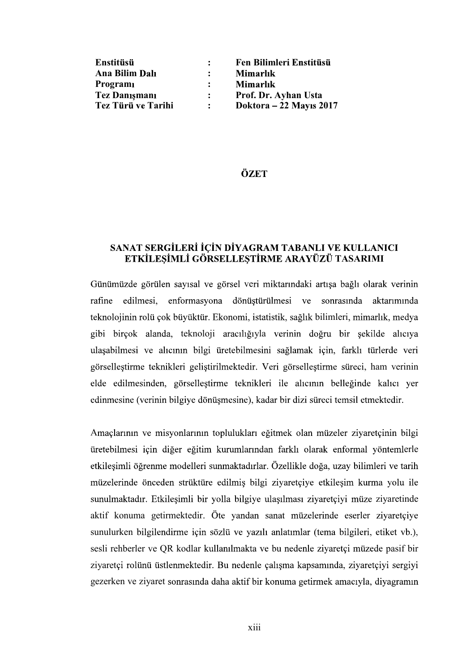| Enstitüsü            | Fen Bilimleri Enstitüsü |
|----------------------|-------------------------|
| Ana Bilim Dalı       | Mimarlık                |
| Programi             | Mimarlık                |
| <b>Tez Danismani</b> | Prof. Dr. Ayhan Usta    |
| Tez Türü ve Tarihi   | Doktora – 22 Mayıs 2017 |

## ÖZET

## SANAT SERGİLERİ İÇİN DİYAGRAM TABANLI VE KULLANICI ETKİLESİMLİ GÖRSELLESTİRME ARAYÜZÜ TASARIMI

Günümüzde görülen sayısal ve görsel veri miktarındaki artısa bağlı olarak verinin rafine edilmesi, enformasyona dönüştürülmesi ve sonrasında aktarımında teknolojinin rolü çok büyüktür. Ekonomi, istatistik, sağlık bilimleri, mimarlık, medya gibi birçok alanda, teknoloji aracılığıyla verinin doğru bir şekilde alıcıya ulaşabilmesi ve alıcının bilgi üretebilmesini sağlamak için, farklı türlerde veri görselleştirme teknikleri geliştirilmektedir. Veri görselleştirme süreci, ham verinin elde edilmesinden, görselleştirme teknikleri ile alıcının belleğinde kalıcı yer edinmesine (verinin bilgiye dönüşmesine), kadar bir dizi süreci temsil etmektedir.<br>Amaçlarının ve misyonlarının toplulukları eğitmek olan müzeler ziyaretçinin bilgi

üretebilmesi için diğer eğitim kurumlarından farklı olarak enformal yöntemlerle etkilesimli öğrenme modelleri sunmaktadırlar. Özellikle doğa, uzay bilimleri ve tarih müzelerinde önceden strüktüre edilmiş bilgi ziyaretçiye etkileşim kurma yolu ile sunulmaktadır. Etkileşimli bir yolla bilgiye ulaşılması ziyaretçiyi müze ziyaretinde aktif konuma getirmektedir. Öte yandan sanat müzelerinde eserler ziyaretçiye sunulurken bilgilendirme için sözlü ve yazılı anlatımlar (tema bilgileri, etiket vb.), sesli rehberler ve QR kodlar kullanılmakta ve bu nedenle ziyaretçi müzede pasif bir ziyaretçi rolünü üstlenmektedir. Bu nedenle çalışma kapsamında, ziyaretçiyi sergiyi gezerken ve ziyaret sonrasında daha aktif bir konuma getirmek amacıyla, diyagramın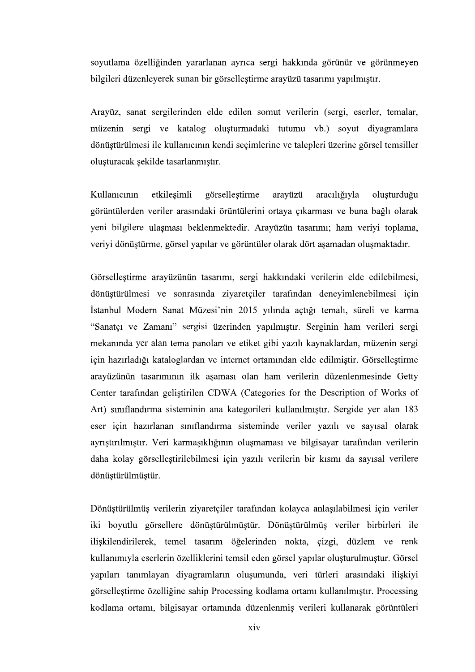soyutlama özelliğinden yararlanan ayrıca sergi hakkında görünür ve görünmeyen bilgileri düzenleyerek sunan bir görsellestirme arayüzü tasarımı yapılmıştır.

Arayüz, sanat sergilerinden elde edilen somut verilerin (sergi, eserler, temalar, müzenin sergi ve katalog oluşturmadaki tutumu vb.) soyut diyagramlara dönüstürülmesi ile kullanıcının kendi secimlerine ve talepleri üzerine görsel temsiller

oluşturacak şekilde tasarlanmıştır.<br>Kullanıcının etkileşimli görselleştirme arayüzü aracılığıyla oluşturduğu<br>görüntülerden veriler arasındaki örüntülerini ortaya çıkarması ve buna bağlı olarak<br>yeni bilgilere ulaşması bekle arayüzü aracılığıyla oluşturduğu veriyi dönüstürme, görsel yapılar ve görüntüler olarak dört asamadan olusmaktadır.

Görsellestirme arayüzünün tasarımı, sergi hakkındaki verilerin elde edilebilmesi, dönüstürülmesi ve sonrasında ziyaretçiler tarafından deneyimlenebilmesi için İstanbul Modern Sanat Müzesi'nin 2015 yılında açtığı temalı, süreli ve karma "Sanatçı ve Zamanı" sergisi üzerinden yapılmıştır. Serginin ham verileri sergi mekanında yer alan tema panoları ve etiket gibi yazılı kaynaklardan, müzenin sergi için hazırladığı kataloglardan ve internet ortamından elde edilmiştir. Görselleştirme arayüzünün tasarımının ilk aşaması olan ham verilerin düzenlenmesinde Getty Center tarafından geliştirilen CDWA (Categories for the Description of Works of Art) sınıflandırma sisteminin ana kategorileri kullanılmıştır. Sergide yer alan 183 eser için hazırlanan sınıflandırma sisteminde veriler yazılı ve sayısal olarak ayrıştırılmıştır. Veri karmaşıklığının oluşmaması ve bilgisayar tarafından verilerin daha kolay görsellestirilebilmesi için yazılı verilerin bir kısmı da sayısal verilere dönüştürülmüştür.

Dönüştürülmüş verilerin ziyaretçiler tarafından kolayca anlaşılabilmesi için veriler iki boyutlu görsellere dönüştürülmüştür. Dönüştürülmüş veriler birbirleri ile ilişkilendirilerek, temel tasarım öğelerinden nokta, çizgi, düzlem ve renk kullanımıyla eserlerin özelliklerini temsil eden görsel yapılar oluşturulmuştur. Görsel yapıları tanımlayan diyagramların oluşumunda, veri türleri arasındaki ilişkiyi görsellestirme özelliğine sahip Processing kodlama ortamı kullanılmıştır. Processing kodlama ortamı, bilgisayar ortamında düzenlenmiş verileri kullanarak görüntüleri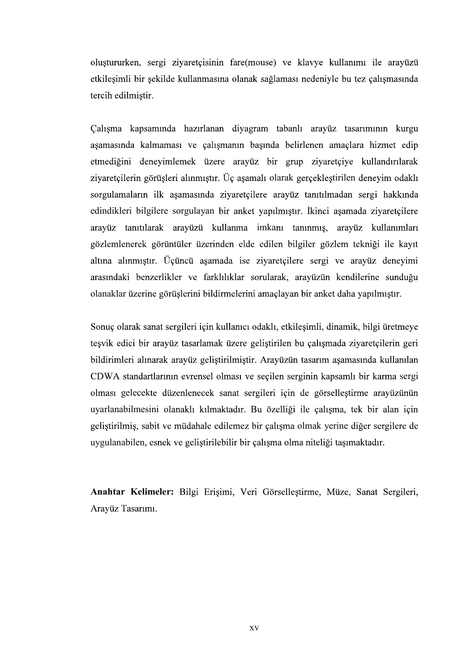oluştururken, sergi ziyaretçisinin fare(mouse) ve klavye kullanımı ile arayüzü etkilesimli bir sekilde kullanmasına olanak sağlaması nedeniyle bu tez çalısmasında tercih edilmiştir.

Calışma kapsamında hazırlanan diyagram tabanlı arayüz tasarımının kurgu aşamasında kalmaması ve çalışmanın başında belirlenen amaçlara hizmet edip etmediğini deneyimlemek üzere arayüz bir grup ziyaretçiye kullandırılarak ziyaretçilerin görüşleri alınmıştır. Üç aşamalı olarak gerçekleştirilen deneyim odaklı sorgulamaların ilk aşamasında ziyaretçilere arayüz tanıtılmadan sergi hakkında edindikleri bilgilere sorgulayan bir anket yapılmıştır. İkinci aşamada ziyaretçilere arayüz tanıtılarak arayüzü kullanma imkanı tanınmış, arayüz kullanımları gözlemlenerek görüntüler üzerinden elde edilen bilgiler gözlem tekniği ile kayıt altına alınmıştır. Üçüncü aşamada ise ziyaretçilere sergi ve arayüz deneyimi arasındaki benzerlikler ve farklılıklar sorularak, arayüzün kendilerine sunduğu olanaklar üzerine görüslerini bildirmelerini amaçlayan bir anket daha yapılmıştır.

Sonuç olarak sanat sergileri için kullanıcı odaklı, etkileşimli, dinamik, bilgi üretmeye teşvik edici bir arayüz tasarlamak üzere geliştirilen bu çalışmada ziyaretçilerin geri bildirimleri alınarak arayüz geliştirilmiştir. Arayüzün tasarım aşamasında kullanılan CDWA standartlarının evrensel olması ve seçilen serginin kapsamlı bir karma sergi olması gelecekte düzenlenecek sanat sergileri için de görselleştirme arayüzünün uyarlanabilmesini olanaklı kılmaktadır. Bu özelliği ile çalışma, tek bir alan için gelistirilmis, sabit ve müdahale edilemez bir çalışma olmak yerine diğer sergilere de uygulanabilen, esnek ve geliştirilebilir bir çalışma olma niteliği taşımaktadır.

Anahtar Kelimeler: Bilgi Erişimi, Veri Görselleştirme, Müze, Sanat Sergileri, Arayüz Tasarımı.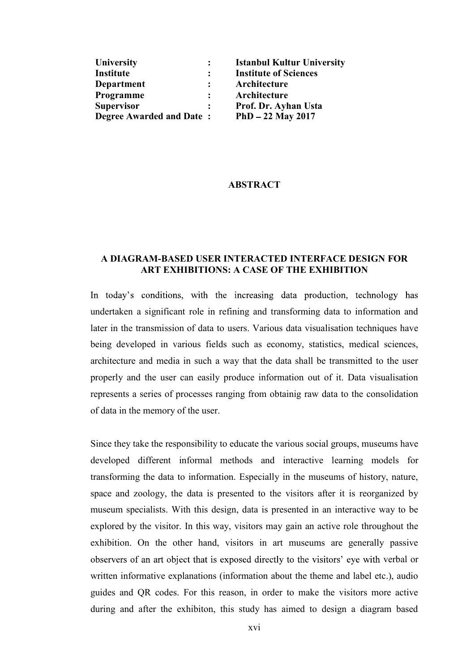| <b>University</b>               | $\mathbf{L}$ | <b>Istanbul Kultur University</b> |
|---------------------------------|--------------|-----------------------------------|
| Institute                       | $\mathbf{L}$ | <b>Institute of Sciences</b>      |
| Department                      |              | Architecture                      |
| Programme                       |              | Architecture                      |
| <b>Supervisor</b>               | $\mathbf{L}$ | Prof. Dr. Ayhan Usta              |
| <b>Degree Awarded and Date:</b> |              | $PhD - 22$ May 2017               |

## ABSTRACT

## A DIAGRAM-BASED USER INTERACTED INTERFACE DESIGN FOR ART EXHIBITIONS: A CASE OF THE EXHIBITION

In today's conditions, with the increasing data production, technology has undertaken a significant role in refining and transforming data to information and later in the transmission of data to users. Various data visualisation techniques have being developed in various fields such as economy, statistics, medical sciences, architecture and media in such a way that the data shall be transmitted to the user properly and the user can easily produce information out of it. Data visualisation represents a series of processes ranging from obtainig raw data to the consolidation of data in the memory of the user.

Since they take the responsibility to educate the various social groups, museums have developed different informal methods and interactive learning models for transforming the data to information. Especially in the museums of history, nature, space and zoology, the data is presented to the visitors after it is reorganized by museum specialists. With this design, data is presented in an interactive way to be explored by the visitor. In this way, visitors may gain an active role throughout the exhibition. On the other hand, visitors in art museums are generally passive observers of an art object that is exposed directly to the visitors' eye with verbal or written informative explanations (information about the theme and label etc.), audio guides and QR codes. For this reason, in order to make the visitors more active during and after the exhibiton, this study has aimed to design a diagram based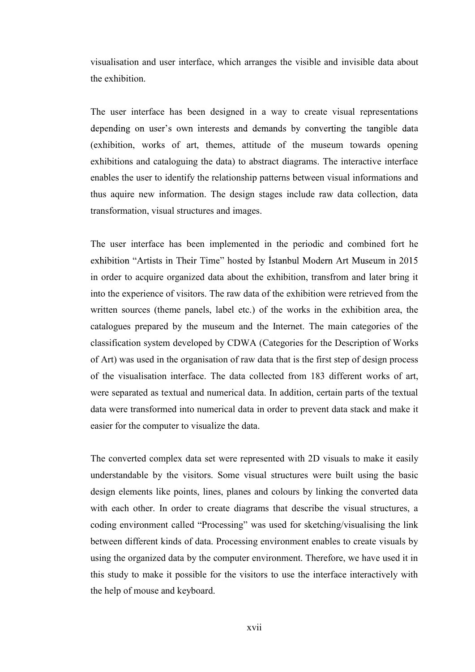visualisation and user interface, which arranges the visible and invisible data about the exhibition.

The user interface has been designed in a way to create visual representations a (exhibition, works of art, themes, attitude of the museum towards opening exhibitions and cataloguing the data) to abstract diagrams. The interactive interface enables the user to identify the relationship patterns between visual informations and thus aquire new information. The design stages include raw data collection, data transformation, visual structures and images.

The user interface has been implemented in the periodic and combined fort he exhibition "Artists in Their Time" hosted by İstanbul Modern Art Museum in 2015 in order to acquire organized data about the exhibition, transfrom and later bring it into the experience of visitors. The raw data of the exhibition were retrieved from the written sources (theme panels, label etc.) of the works in the exhibition area, the catalogues prepared by the museum and the Internet. The main categories of the classification system developed by CDWA (Categories for the Description of Works of Art) was used in the organisation of raw data that is the first step of design process of the visualisation interface. The data collected from 183 different works of art, were separated as textual and numerical data. In addition, certain parts of the textual data were transformed into numerical data in order to prevent data stack and make it easier for the computer to visualize the data.

The converted complex data set were represented with 2D visuals to make it easily understandable by the visitors. Some visual structures were built using the basic design elements like points, lines, planes and colours by linking the converted data with each other. In order to create diagrams that describe the visual structures, a coding environment called "Processing" was used for sketching/visualising the link between different kinds of data. Processing environment enables to create visuals by using the organized data by the computer environment. Therefore, we have used it in this study to make it possible for the visitors to use the interface interactively with the help of mouse and keyboard.

xvii